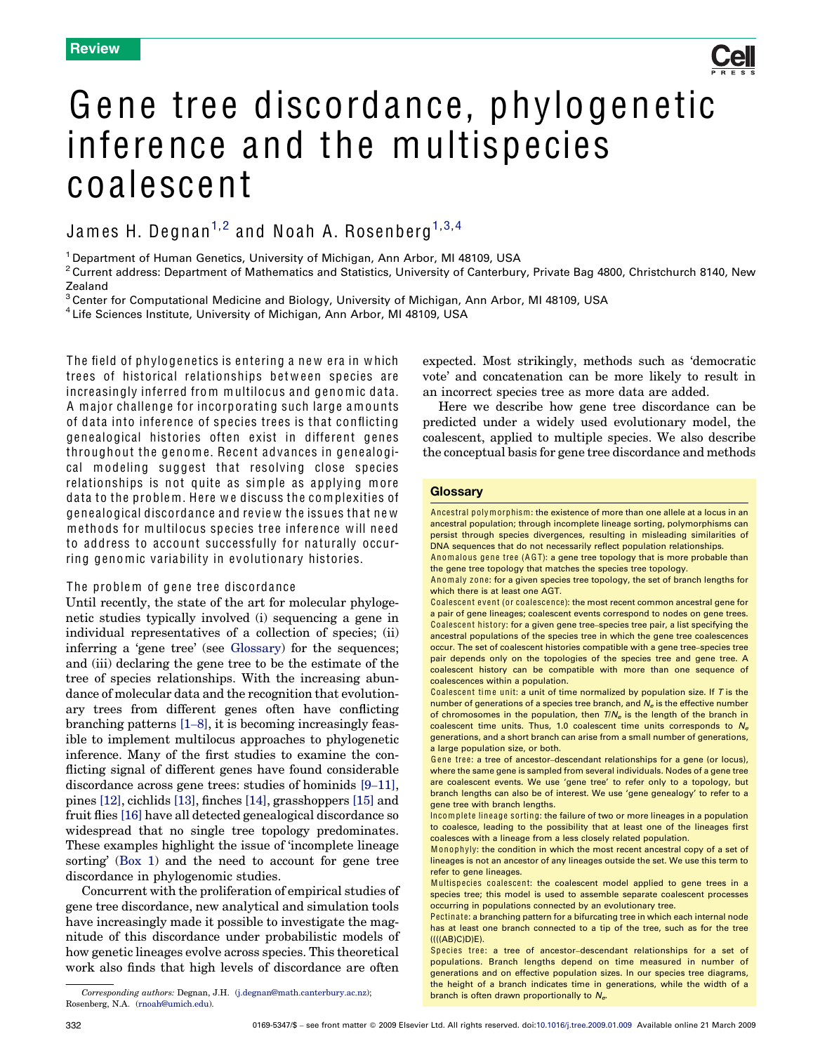

# Gene tree discordance, phylogenetic inference and the multispecies coalescent

# James H. Degnan<sup>[1](#page-0-0),[2](#page-0-0)</sup> and Noah A. Rosenberg<sup>1,[3](#page-0-0),[4](#page-0-0)</sup>

<sup>1</sup> Department of Human Genetics, University of Michigan, Ann Arbor, MI 48109, USA

 $2$ Current address: Department of Mathematics and Statistics, University of Canterbury, Private Bag 4800, Christchurch 8140, New Zealand

<sup>3</sup>Center for Computational Medicine and Biology, University of Michigan, Ann Arbor, MI 48109, USA

<sup>4</sup> Life Sciences Institute, University of Michigan, Ann Arbor, MI 48109, USA

The field of phylogenetics is entering a new era in which trees of historical relationships between species are increasingly inferred from multilocus and genomic data. A major challenge for incorporating such large amounts of data into inference of species trees is that conflicting genealogical histories often exist in different genes throughout the genome. Recent advances in genealogical modeling suggest that resolving close species relationships is not quite as simple as applying more data to the problem. Here we discuss the complexities of genealogical discordance and review the issues that new methods for multilocus species tree inference will need to address to account successfully for naturally occurring genomic variability in evolutionary histories.

## The problem of gene tree discordance

Until recently, the state of the art for molecular phylogenetic studies typically involved (i) sequencing a gene in individual representatives of a collection of species; (ii) inferring a 'gene tree' (see Glossary) for the sequences; and (iii) declaring the gene tree to be the estimate of the tree of species relationships. With the increasing abundance of molecular data and the recognition that evolutionary trees from different genes often have conflicting branching patterns [1–[8\],](#page-7-0) it is becoming increasingly feasible to implement multilocus approaches to phylogenetic inference. Many of the first studies to examine the conflicting signal of different genes have found considerable discordance across gene trees: studies of hominids [9–[11\]](#page-7-0), pines [\[12\]](#page-7-0), cichlids [\[13\]](#page-7-0), finches [\[14\]](#page-7-0), grasshoppers [\[15\]](#page-7-0) and fruit flies [\[16\]](#page-7-0) have all detected genealogical discordance so widespread that no single tree topology predominates. These examples highlight the issue of 'incomplete lineage sorting' ([Box 1\)](#page-1-0) and the need to account for gene tree discordance in phylogenomic studies.

Concurrent with the proliferation of empirical studies of gene tree discordance, new analytical and simulation tools have increasingly made it possible to investigate the magnitude of this discordance under probabilistic models of how genetic lineages evolve across species. This theoretical work also finds that high levels of discordance are often

<span id="page-0-0"></span>branch is often drawn proportionally to Ne. Corresponding authors: Degnan, J.H. [\(j.degnan@math.canterbury.ac.nz](mailto:j.degnan@math.canterbury.ac.nz)); Rosenberg, N.A. [\(rnoah@umich.edu](mailto:rnoah@umich.edu)).

expected. Most strikingly, methods such as 'democratic vote' and concatenation can be more likely to result in an incorrect species tree as more data are added.

Here we describe how gene tree discordance can be predicted under a widely used evolutionary model, the coalescent, applied to multiple species. We also describe the conceptual basis for gene tree discordance and methods

### **Glossarv**

Ancestral polymorphism: the existence of more than one allele at a locus in an ancestral population; through incomplete lineage sorting, polymorphisms can persist through species divergences, resulting in misleading similarities of DNA sequences that do not necessarily reflect population relationships.

Anomalous gene tree (A GT): a gene tree topology that is more probable than the gene tree topology that matches the species tree topology.

Coalescent event (or coalescence): the most recent common ancestral gene for a pair of gene lineages; coalescent events correspond to nodes on gene trees. Coalescent history: for a given gene tree–species tree pair, a list specifying the ancestral populations of the species tree in which the gene tree coalescences occur. The set of coalescent histories compatible with a gene tree–species tree pair depends only on the topologies of the species tree and gene tree. A coalescent history can be compatible with more than one sequence of coalescences within a population.

Coalescent time unit: a unit of time normalized by population size. If  $T$  is the number of generations of a species tree branch, and  $N_e$  is the effective number of chromosomes in the population, then  $T/N_e$  is the length of the branch in coalescent time units. Thus, 1.0 coalescent time units corresponds to  $N_e$ generations, and a short branch can arise from a small number of generations, a large population size, or both.

Gene tree: a tree of ancestor–descendant relationships for a gene (or locus), where the same gene is sampled from several individuals. Nodes of a gene tree are coalescent events. We use 'gene tree' to refer only to a topology, but branch lengths can also be of interest. We use 'gene genealogy' to refer to a gene tree with branch lengths.

Incomplete lineage sorting: the failure of two or more lineages in a population to coalesce, leading to the possibility that at least one of the lineages first coalesces with a lineage from a less closely related population.

Monophyly: the condition in which the most recent ancestral copy of a set of lineages is not an ancestor of any lineages outside the set. We use this term to refer to gene lineages.

Multispecies coalescent: the coalescent model applied to gene trees in a species tree; this model is used to assemble separate coalescent processes occurring in populations connected by an evolutionary tree.

Pectinate: a branching pattern for a bifurcating tree in which each internal node has at least one branch connected to a tip of the tree, such as for the tree ((((AB)C)D)E).

Sp ecies tree: a tree of ancestor–descendant relationships for a set of populations. Branch lengths depend on time measured in number of generations and on effective population sizes. In our species tree diagrams, the height of a branch indicates time in generations, while the width of a

Anomaly zone: for a given species tree topology, the set of branch lengths for which there is at least one AGT.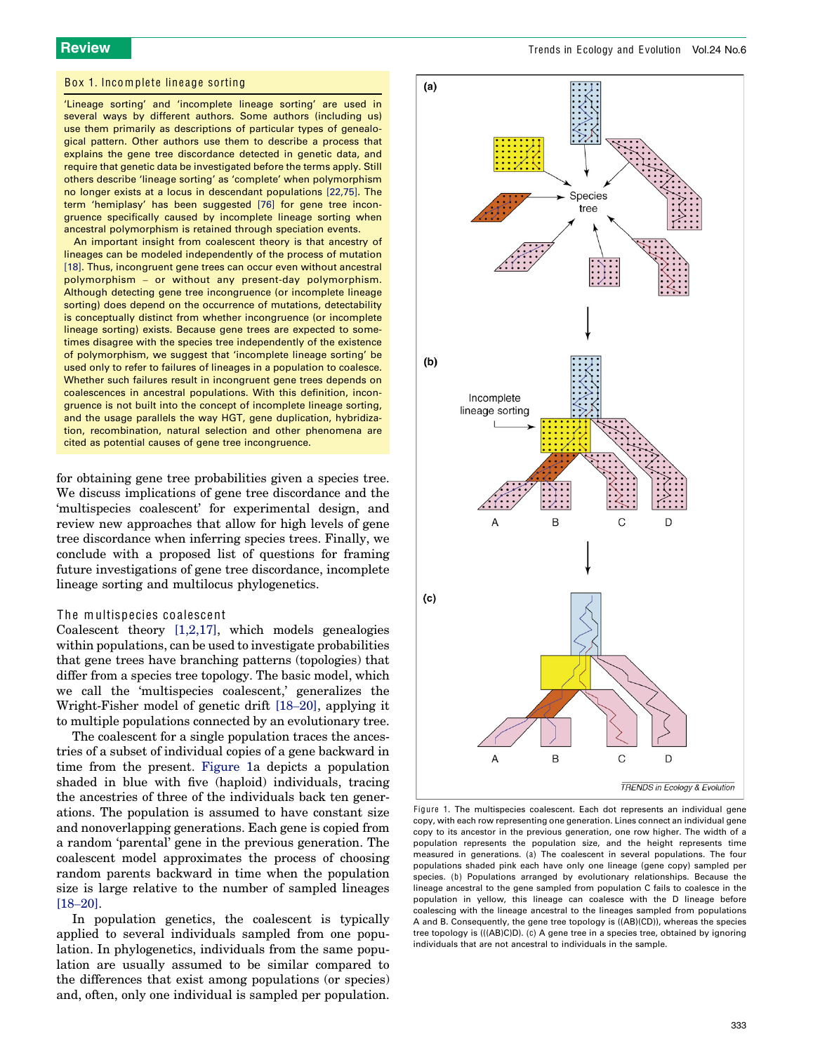#### Box 1. Incomplete lineage sorting

'Lineage sorting' and 'incomplete lineage sorting' are used in several ways by different authors. Some authors (including us) use them primarily as descriptions of particular types of genealogical pattern. Other authors use them to describe a process that explains the gene tree discordance detected in genetic data, and require that genetic data be investigated before the terms apply. Still others describe 'lineage sorting' as 'complete' when polymorphism no longer exists at a locus in descendant populations [\[22,75\].](#page-7-0) The term 'hemiplasy' has been suggested [\[76\]](#page-8-0) for gene tree incongruence specifically caused by incomplete lineage sorting when ancestral polymorphism is retained through speciation events.

An important insight from coalescent theory is that ancestry of lineages can be modeled independently of the process of mutation [\[18\]](#page-7-0). Thus, incongruent gene trees can occur even without ancestral polymorphism – or without any present-day polymorphism. Although detecting gene tree incongruence (or incomplete lineage sorting) does depend on the occurrence of mutations, detectability is conceptually distinct from whether incongruence (or incomplete lineage sorting) exists. Because gene trees are expected to sometimes disagree with the species tree independently of the existence of polymorphism, we suggest that 'incomplete lineage sorting' be used only to refer to failures of lineages in a population to coalesce. Whether such failures result in incongruent gene trees depends on coalescences in ancestral populations. With this definition, incongruence is not built into the concept of incomplete lineage sorting, and the usage parallels the way HGT, gene duplication, hybridization, recombination, natural selection and other phenomena are cited as potential causes of gene tree incongruence.

for obtaining gene tree probabilities given a species tree. We discuss implications of gene tree discordance and the 'multispecies coalescent' for experimental design, and review new approaches that allow for high levels of gene tree discordance when inferring species trees. Finally, we conclude with a proposed list of questions for framing future investigations of gene tree discordance, incomplete lineage sorting and multilocus phylogenetics.

#### The multispecies coalescent

Coalescent theory [\[1,2,17\],](#page-7-0) which models genealogies within populations, can be used to investigate probabilities that gene trees have branching patterns (topologies) that differ from a species tree topology. The basic model, which we call the 'multispecies coalescent,' generalizes the Wright-Fisher model of genetic drift [\[18](#page-7-0)–20], applying it to multiple populations connected by an evolutionary tree.

The coalescent for a single population traces the ancestries of a subset of individual copies of a gene backward in time from the present. [Figure 1a](#page-1-0) depicts a population shaded in blue with five (haploid) individuals, tracing the ancestries of three of the individuals back ten generations. The population is assumed to have constant size and nonoverlapping generations. Each gene is copied from a random 'parental' gene in the previous generation. The coalescent model approximates the process of choosing random parents backward in time when the population size is large relative to the number of sampled lineages [18–[20\]](#page-7-0).

<span id="page-1-0"></span>In population genetics, the coalescent is typically applied to several individuals sampled from one population. In phylogenetics, individuals from the same population are usually assumed to be similar compared to the differences that exist among populations (or species) and, often, only one individual is sampled per population.



Figure 1. The multispecies coalescent. Each dot represents an individual gene copy, with each row representing one generation. Lines connect an individual gene copy to its ancestor in the previous generation, one row higher. The width of a population represents the population size, and the height represents time measured in generations. (a) The coalescent in several populations. The four populations shaded pink each have only one lineage (gene copy) sampled per species. (b) Populations arranged by evolutionary relationships. Because the lineage ancestral to the gene sampled from population C fails to coalesce in the population in yellow, this lineage can coalesce with the D lineage before coalescing with the lineage ancestral to the lineages sampled from populations A and B. Consequently, the gene tree topology is ((AB)(CD)), whereas the species tree topology is (((AB)C)D). (c) A gene tree in a species tree, obtained by ignoring individuals that are not ancestral to individuals in the sample.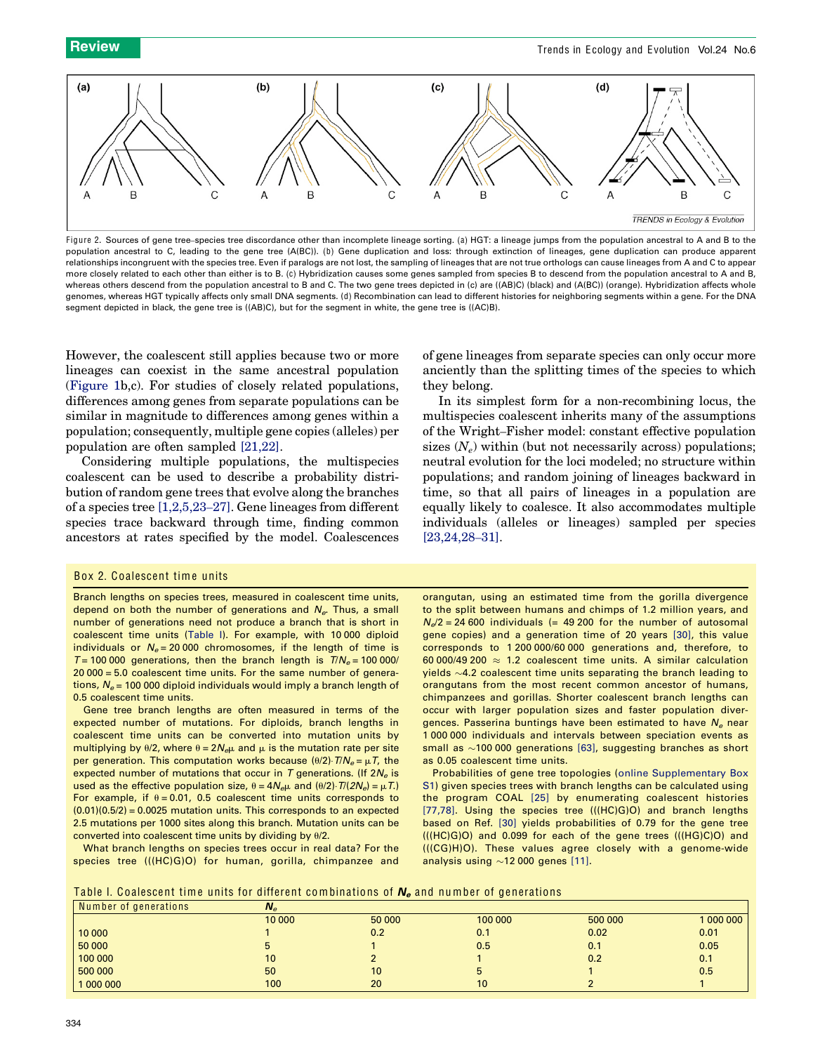

Figure 2. Sources of gene tree-species tree discordance other than incomplete lineage sorting. (a) HGT: a lineage jumps from the population ancestral to A and B to the population ancestral to C, leading to the gene tree (A(BC)). (b) Gene duplication and loss: through extinction of lineages, gene duplication can produce apparent relationships incongruent with the species tree. Even if paralogs are not lost, the sampling of lineages that are not true orthologs can cause lineages from A and C to appear more closely related to each other than either is to B. (c) Hybridization causes some genes sampled from species B to descend from the population ancestral to A and B, whereas others descend from the population ancestral to B and C. The two gene trees depicted in (c) are ((AB)C) (black) and (A(BC)) (orange). Hybridization affects whole genomes, whereas HGT typically affects only small DNA segments. (d) Recombination can lead to different histories for neighboring segments within a gene. For the DNA segment depicted in black, the gene tree is ((AB)C), but for the segment in white, the gene tree is ((AC)B).

However, the coalescent still applies because two or more lineages can coexist in the same ancestral population ([Figure 1b](#page-1-0),c). For studies of closely related populations, differences among genes from separate populations can be similar in magnitude to differences among genes within a population; consequently, multiple gene copies (alleles) per population are often sampled [\[21,22\].](#page-7-0)

Considering multiple populations, the multispecies coalescent can be used to describe a probability distribution of random gene trees that evolve along the branches of a species tree [\[1,2,5,23](#page-7-0)–27]. Gene lineages from different species trace backward through time, finding common ancestors at rates specified by the model. Coalescences of gene lineages from separate species can only occur more anciently than the splitting times of the species to which they belong.

In its simplest form for a non-recombining locus, the multispecies coalescent inherits many of the assumptions of the Wright–Fisher model: constant effective population sizes  $(N_e)$  within (but not necessarily across) populations; neutral evolution for the loci modeled; no structure within populations; and random joining of lineages backward in time, so that all pairs of lineages in a population are equally likely to coalesce. It also accommodates multiple individuals (alleles or lineages) sampled per species [\[23,24,28](#page-7-0)–31].

#### Box 2. Coalescent time units

Branch lengths on species trees, measured in coalescent time units, depend on both the number of generations and  $N_e$ . Thus, a small number of generations need not produce a branch that is short in coalescent time units ([Table I\)](#page-2-0). For example, with 10 000 diploid individuals or  $N_e = 20000$  chromosomes, if the length of time is  $T = 100000$  generations, then the branch length is  $T/N_e = 100000/$ 20 000 = 5.0 coalescent time units. For the same number of generations,  $N_e$  = 100 000 diploid individuals would imply a branch length of 0.5 coalescent time units.

Gene tree branch lengths are often measured in terms of the expected number of mutations. For diploids, branch lengths in coalescent time units can be converted into mutation units by multiplying by  $\theta/2$ , where  $\theta = 2N_{e\mu}$  and  $\mu$  is the mutation rate per site per generation. This computation works because  $(\theta/2) \cdot T/N_e = \mu T$ , the expected number of mutations that occur in T generations. (If  $2N_e$  is used as the effective population size,  $\theta = 4N_{e\mu}$  and  $(\theta/2) \cdot T/(2N_e) = \mu T$ .) For example, if  $\theta = 0.01$ , 0.5 coalescent time units corresponds to  $(0.01)(0.5/2) = 0.0025$  mutation units. This corresponds to an expected 2.5 mutations per 1000 sites along this branch. Mutation units can be converted into coalescent time units by dividing by  $\theta/2$ .

What branch lengths on species trees occur in real data? For the species tree (((HC)G)O) for human, gorilla, chimpanzee and orangutan, using an estimated time from the gorilla divergence to the split between humans and chimps of 1.2 million years, and  $N_d/2$  = 24 600 individuals (= 49 200 for the number of autosomal gene copies) and a generation time of 20 years [\[30\],](#page-7-0) this value corresponds to 1 200 000/60 000 generations and, therefore, to 60 000/49 200  $\approx$  1.2 coalescent time units. A similar calculation yields  $\sim$ 4.2 coalescent time units separating the branch leading to orangutans from the most recent common ancestor of humans, chimpanzees and gorillas. Shorter coalescent branch lengths can occur with larger population sizes and faster population divergences. Passerina buntings have been estimated to have  $N_e$  near 1 000 000 individuals and intervals between speciation events as small as  $\sim$ 100 000 generations [\[63\],](#page-8-0) suggesting branches as short as 0.05 coalescent time units.

Probabilities of gene tree topologies ([online Supplementary Box](#page-7-0) [S1\)](#page-7-0) given species trees with branch lengths can be calculated using the program COAL [\[25\]](#page-7-0) by enumerating coalescent histories [\[77,78\].](#page-8-0) Using the species tree (((HC)G)O) and branch lengths based on Ref. [\[30\]](#page-7-0) yields probabilities of 0.79 for the gene tree (((HC)G)O) and 0.099 for each of the gene trees (((HG)C)O) and (((CG)H)O). These values agree closely with a genome-wide analysis using  $\sim$ 12 000 genes [\[11\].](#page-7-0)

Table I. Coalescent time units for different combinations of  $N_e$  and number of generations

<span id="page-2-0"></span>

| Number of generations | $N_e$  |        |                 |         |         |
|-----------------------|--------|--------|-----------------|---------|---------|
|                       | 10 000 | 50 000 | 100 000         | 500 000 | 1000000 |
| 10 000                |        | 0.2    | 0.1             | 0.02    | 0.01    |
| 50 000                |        |        | 0.5             | 0.1     | 0.05    |
| 100 000               | 10     |        |                 | 0.2     | 0.1     |
| 500 000               | 50     | 10     |                 |         | 0.5     |
| 1000000               | 100    | 20     | 10 <sup>°</sup> |         |         |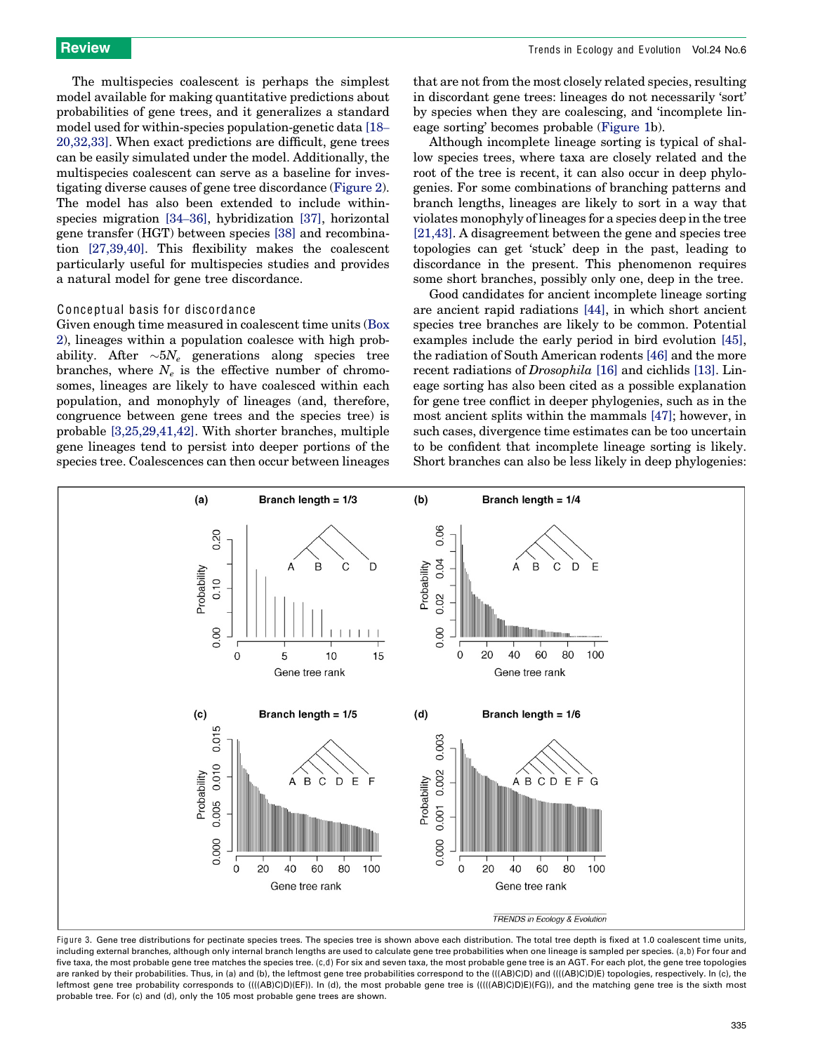The multispecies coalescent is perhaps the simplest model available for making quantitative predictions about probabilities of gene trees, and it generalizes a standard model used for within-species population-genetic data [\[18](#page-7-0)– [20,32,33\]](#page-7-0). When exact predictions are difficult, gene trees can be easily simulated under the model. Additionally, the multispecies coalescent can serve as a baseline for investigating diverse causes of gene tree discordance ([Figure 2\)](#page-2-0). The model has also been extended to include withinspecies migration [34–[36\]](#page-7-0), hybridization [\[37\]](#page-7-0), horizontal gene transfer (HGT) between species [\[38\]](#page-7-0) and recombination [\[27,39,40\]](#page-7-0). This flexibility makes the coalescent particularly useful for multispecies studies and provides a natural model for gene tree discordance.

#### Conceptual basis for discordance

Given enough time measured in coalescent time units [\(Box](#page-2-0) [2\)](#page-2-0), lineages within a population coalesce with high probability. After  $\sim 5N_e$  generations along species tree branches, where  $N_e$  is the effective number of chromosomes, lineages are likely to have coalesced within each population, and monophyly of lineages (and, therefore, congruence between gene trees and the species tree) is probable [\[3,25,29,41,42\].](#page-7-0) With shorter branches, multiple gene lineages tend to persist into deeper portions of the species tree. Coalescences can then occur between lineages

that are not from the most closely related species, resulting in discordant gene trees: lineages do not necessarily 'sort' by species when they are coalescing, and 'incomplete lineage sorting' becomes probable [\(Figure 1](#page-1-0)b).

Although incomplete lineage sorting is typical of shallow species trees, where taxa are closely related and the root of the tree is recent, it can also occur in deep phylogenies. For some combinations of branching patterns and branch lengths, lineages are likely to sort in a way that violates monophyly of lineages for a species deep in the tree [\[21,43\]](#page-7-0). A disagreement between the gene and species tree topologies can get 'stuck' deep in the past, leading to discordance in the present. This phenomenon requires some short branches, possibly only one, deep in the tree.

Good candidates for ancient incomplete lineage sorting are ancient rapid radiations [\[44\]](#page-7-0), in which short ancient species tree branches are likely to be common. Potential examples include the early period in bird evolution [\[45\]](#page-7-0), the radiation of South American rodents [\[46\]](#page-7-0) and the more recent radiations of Drosophila [\[16\]](#page-7-0) and cichlids [\[13\]](#page-7-0). Lineage sorting has also been cited as a possible explanation for gene tree conflict in deeper phylogenies, such as in the most ancient splits within the mammals [\[47\];](#page-7-0) however, in such cases, divergence time estimates can be too uncertain to be confident that incomplete lineage sorting is likely. Short branches can also be less likely in deep phylogenies:



<span id="page-3-0"></span>Figure 3. Gene tree distributions for pectinate species trees. The species tree is shown above each distribution. The total tree depth is fixed at 1.0 coalescent time units, including external branches, although only internal branch lengths are used to calculate gene tree probabilities when one lineage is sampled per species. (a,b) For four and five taxa, the most probable gene tree matches the species tree. (c,d) For six and seven taxa, the most probable gene tree is an AGT. For each plot, the gene tree topologies are ranked by their probabilities. Thus, in (a) and (b), the leftmost gene tree probabilities correspond to the (((AB)C)D) and ((((AB)C)D)E) topologies, respectively. In (c), the leftmost gene tree probability corresponds to ((((AB)C)D)(EF)). In (d), the most probable gene tree is (((((AB)C)D)E)(FG)), and the matching gene tree is the sixth most probable tree. For (c) and (d), only the 105 most probable gene trees are shown.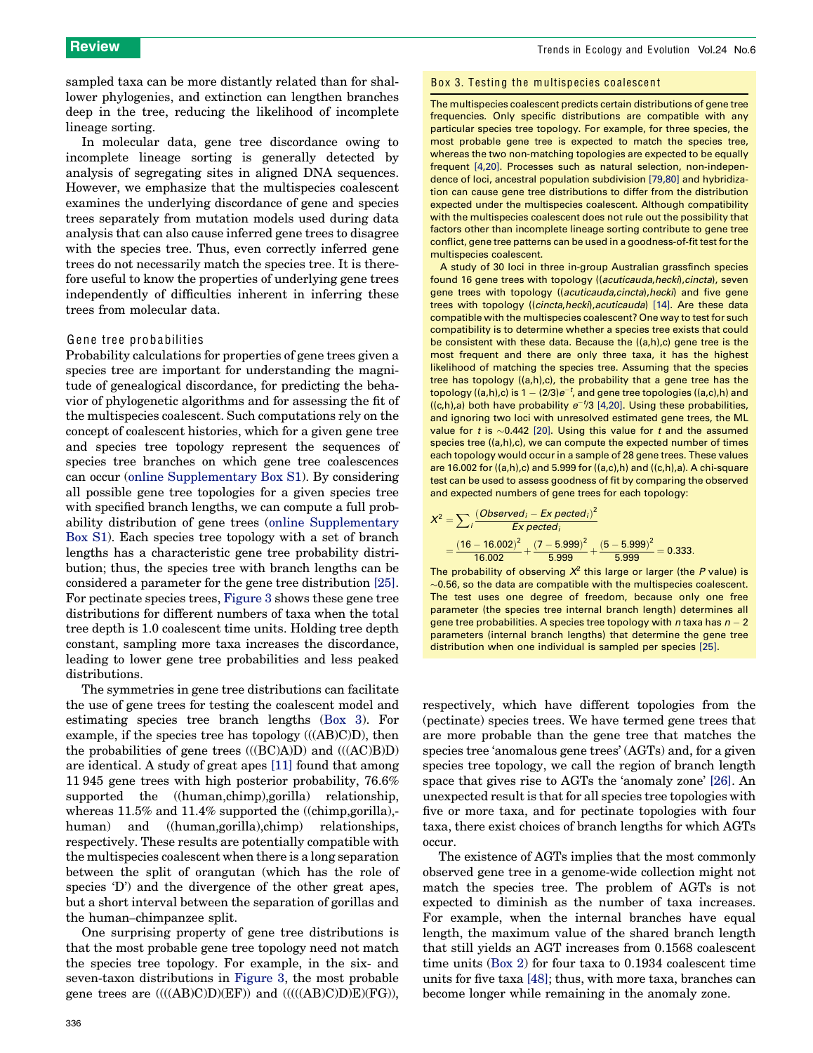sampled taxa can be more distantly related than for shallower phylogenies, and extinction can lengthen branches deep in the tree, reducing the likelihood of incomplete lineage sorting.

In molecular data, gene tree discordance owing to incomplete lineage sorting is generally detected by analysis of segregating sites in aligned DNA sequences. However, we emphasize that the multispecies coalescent examines the underlying discordance of gene and species trees separately from mutation models used during data analysis that can also cause inferred gene trees to disagree with the species tree. Thus, even correctly inferred gene trees do not necessarily match the species tree. It is therefore useful to know the properties of underlying gene trees independently of difficulties inherent in inferring these trees from molecular data.

#### Gene tree probabilities

Probability calculations for properties of gene trees given a species tree are important for understanding the magnitude of genealogical discordance, for predicting the behavior of phylogenetic algorithms and for assessing the fit of the multispecies coalescent. Such computations rely on the concept of coalescent histories, which for a given gene tree and species tree topology represent the sequences of species tree branches on which gene tree coalescences can occur (online Supplementary Box S1). By considering all possible gene tree topologies for a given species tree with specified branch lengths, we can compute a full probability distribution of gene trees (online Supplementary Box S1). Each species tree topology with a set of branch lengths has a characteristic gene tree probability distribution; thus, the species tree with branch lengths can be considered a parameter for the gene tree distribution [\[25\]](#page-7-0). For pectinate species trees, [Figure 3](#page-3-0) shows these gene tree distributions for different numbers of taxa when the total tree depth is 1.0 coalescent time units. Holding tree depth constant, sampling more taxa increases the discordance, leading to lower gene tree probabilities and less peaked distributions.

The symmetries in gene tree distributions can facilitate the use of gene trees for testing the coalescent model and estimating species tree branch lengths [\(Box 3\)](#page-4-0). For example, if the species tree has topology (((AB)C)D), then the probabilities of gene trees  $(((BC)A)D)$  and  $(((AC)B)D)$ are identical. A study of great apes [\[11\]](#page-7-0) found that among 11 945 gene trees with high posterior probability, 76.6% supported the ((human,chimp),gorilla) relationship, whereas 11.5% and 11.4% supported the ((chimp, gorilla),human) and ((human,gorilla),chimp) relationships, respectively. These results are potentially compatible with the multispecies coalescent when there is a long separation between the split of orangutan (which has the role of species 'D') and the divergence of the other great apes, but a short interval between the separation of gorillas and the human–chimpanzee split.

<span id="page-4-0"></span>One surprising property of gene tree distributions is that the most probable gene tree topology need not match the species tree topology. For example, in the six- and seven-taxon distributions in [Figure 3](#page-3-0), the most probable gene trees are ((((AB)C)D)(EF)) and (((((AB)C)D)E)(FG)),

#### Box 3. Testing the multispecies coalescent

The multispecies coalescent predicts certain distributions of gene tree frequencies. Only specific distributions are compatible with any particular species tree topology. For example, for three species, the most probable gene tree is expected to match the species tree, whereas the two non-matching topologies are expected to be equally frequent [\[4,20\]](#page-7-0). Processes such as natural selection, non-independence of loci, ancestral population subdivision [\[79,80\]](#page-8-0) and hybridization can cause gene tree distributions to differ from the distribution expected under the multispecies coalescent. Although compatibility with the multispecies coalescent does not rule out the possibility that factors other than incomplete lineage sorting contribute to gene tree conflict, gene tree patterns can be used in a goodness-of-fit test for the multispecies coalescent.

A study of 30 loci in three in-group Australian grassfinch species found 16 gene trees with topology ((acuticauda, hecki), cincta), seven gene trees with topology ((acuticauda, cincta), hecki) and five gene trees with topology ((cincta,hecki), acuticauda) [\[14\]](#page-7-0). Are these data compatible with the multispecies coalescent? One way to test for such compatibility is to determine whether a species tree exists that could be consistent with these data. Because the ((a,h),c) gene tree is the most frequent and there are only three taxa, it has the highest likelihood of matching the species tree. Assuming that the species tree has topology ((a,h),c), the probability that a gene tree has the topology ((a,h),c) is  $1 - (2/3)e^{-t}$ , and gene tree topologies ((a,c),h) and ((c,h),a) both have probability  $e^{-t}/3$  [\[4,20\]](#page-7-0). Using these probabilities, and ignoring two loci with unresolved estimated gene trees, the ML value for t is  $\sim$ 0.442 [\[20\].](#page-7-0) Using this value for t and the assumed species tree ((a,h),c), we can compute the expected number of times each topology would occur in a sample of 28 gene trees. These values are 16.002 for  $((a,h),c)$  and 5.999 for  $((a,c),h)$  and  $((c,h),a)$ . A chi-square test can be used to assess goodness of fit by comparing the observed and expected numbers of gene trees for each topology:

$$
X^{2} = \sum_{i} \frac{(Observed_{i} - Ex \cdot pected_{i})^{2}}{Ex \cdot pected_{i}}
$$
  
=  $\frac{(16 - 16.002)^{2}}{16.002} + \frac{(7 - 5.999)^{2}}{5.999} + \frac{(5 - 5.999)^{2}}{5.999} = 0.333.$ 

The probability of observing  $X^2$  this large or larger (the P value) is  $\sim$ 0.56, so the data are compatible with the multispecies coalescent. The test uses one degree of freedom, because only one free parameter (the species tree internal branch length) determines all gene tree probabilities. A species tree topology with n taxa has  $n - 2$ parameters (internal branch lengths) that determine the gene tree distribution when one individual is sampled per species [\[25\]](#page-7-0).

respectively, which have different topologies from the (pectinate) species trees. We have termed gene trees that are more probable than the gene tree that matches the species tree 'anomalous gene trees' (AGTs) and, for a given species tree topology, we call the region of branch length space that gives rise to AGTs the 'anomaly zone' [\[26\]](#page-7-0). An unexpected result is that for all species tree topologies with five or more taxa, and for pectinate topologies with four taxa, there exist choices of branch lengths for which AGTs occur.

The existence of AGTs implies that the most commonly observed gene tree in a genome-wide collection might not match the species tree. The problem of AGTs is not expected to diminish as the number of taxa increases. For example, when the internal branches have equal length, the maximum value of the shared branch length that still yields an AGT increases from 0.1568 coalescent time units ([Box 2\)](#page-2-0) for four taxa to 0.1934 coalescent time units for five taxa [\[48\]](#page-7-0); thus, with more taxa, branches can become longer while remaining in the anomaly zone.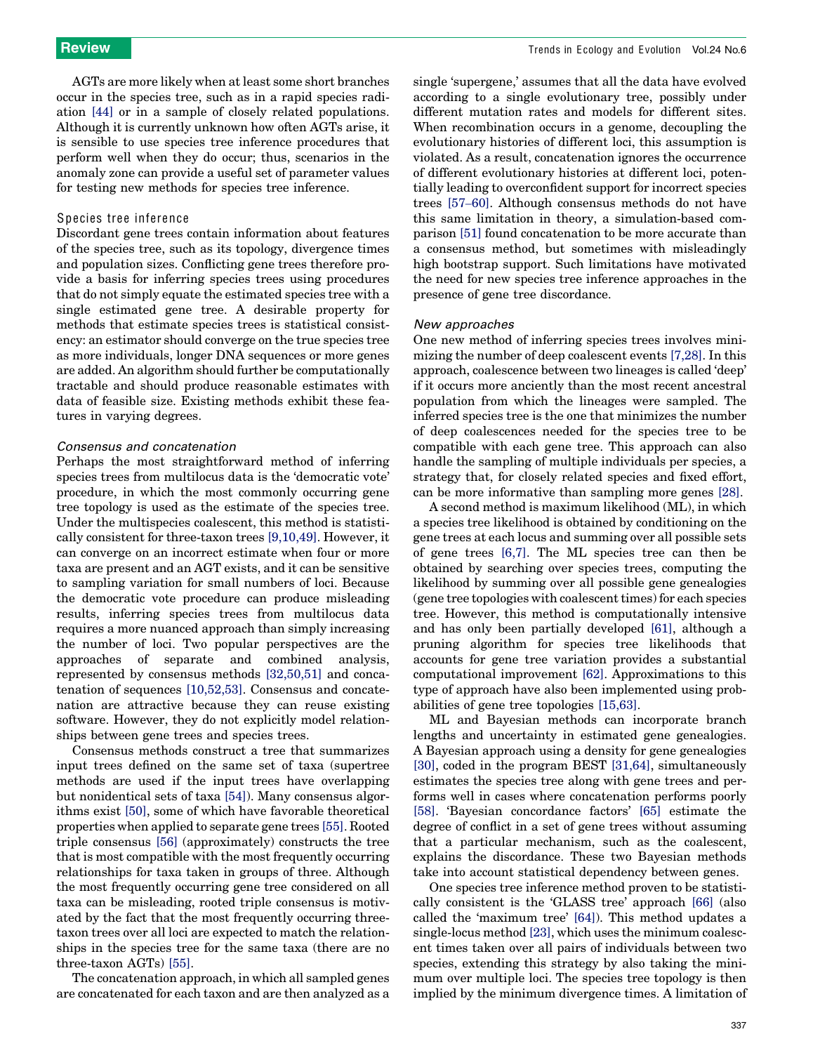AGTs are more likely when at least some short branches occur in the species tree, such as in a rapid species radiation [\[44\]](#page-7-0) or in a sample of closely related populations. Although it is currently unknown how often AGTs arise, it is sensible to use species tree inference procedures that perform well when they do occur; thus, scenarios in the anomaly zone can provide a useful set of parameter values for testing new methods for species tree inference.

#### Species tree inference

Discordant gene trees contain information about features of the species tree, such as its topology, divergence times and population sizes. Conflicting gene trees therefore provide a basis for inferring species trees using procedures that do not simply equate the estimated species tree with a single estimated gene tree. A desirable property for methods that estimate species trees is statistical consistency: an estimator should converge on the true species tree as more individuals, longer DNA sequences or more genes are added. An algorithm should further be computationally tractable and should produce reasonable estimates with data of feasible size. Existing methods exhibit these features in varying degrees.

#### Consensus and concatenation

Perhaps the most straightforward method of inferring species trees from multilocus data is the 'democratic vote' procedure, in which the most commonly occurring gene tree topology is used as the estimate of the species tree. Under the multispecies coalescent, this method is statistically consistent for three-taxon trees [\[9,10,49\]](#page-7-0). However, it can converge on an incorrect estimate when four or more taxa are present and an AGT exists, and it can be sensitive to sampling variation for small numbers of loci. Because the democratic vote procedure can produce misleading results, inferring species trees from multilocus data requires a more nuanced approach than simply increasing the number of loci. Two popular perspectives are the approaches of separate and combined analysis, represented by consensus methods [\[32,50,51\]](#page-7-0) and concatenation of sequences [\[10,52,53\].](#page-7-0) Consensus and concatenation are attractive because they can reuse existing software. However, they do not explicitly model relationships between gene trees and species trees.

Consensus methods construct a tree that summarizes input trees defined on the same set of taxa (supertree methods are used if the input trees have overlapping but nonidentical sets of taxa [\[54\]\)](#page-8-0). Many consensus algorithms exist [\[50\]](#page-7-0), some of which have favorable theoretical properties when applied to separate gene trees [\[55\]](#page-8-0). Rooted triple consensus [\[56\]](#page-8-0) (approximately) constructs the tree that is most compatible with the most frequently occurring relationships for taxa taken in groups of three. Although the most frequently occurring gene tree considered on all taxa can be misleading, rooted triple consensus is motivated by the fact that the most frequently occurring threetaxon trees over all loci are expected to match the relationships in the species tree for the same taxa (there are no three-taxon AGTs) [\[55\].](#page-8-0)

The concatenation approach, in which all sampled genes are concatenated for each taxon and are then analyzed as a

single 'supergene,' assumes that all the data have evolved according to a single evolutionary tree, possibly under different mutation rates and models for different sites. When recombination occurs in a genome, decoupling the evolutionary histories of different loci, this assumption is violated. As a result, concatenation ignores the occurrence of different evolutionary histories at different loci, potentially leading to overconfident support for incorrect species trees [\[57](#page-8-0)–60]. Although consensus methods do not have this same limitation in theory, a simulation-based comparison [\[51\]](#page-7-0) found concatenation to be more accurate than a consensus method, but sometimes with misleadingly high bootstrap support. Such limitations have motivated the need for new species tree inference approaches in the presence of gene tree discordance.

#### New approaches

One new method of inferring species trees involves minimizing the number of deep coalescent events [\[7,28\]](#page-7-0). In this approach, coalescence between two lineages is called 'deep' if it occurs more anciently than the most recent ancestral population from which the lineages were sampled. The inferred species tree is the one that minimizes the number of deep coalescences needed for the species tree to be compatible with each gene tree. This approach can also handle the sampling of multiple individuals per species, a strategy that, for closely related species and fixed effort, can be more informative than sampling more genes [\[28\].](#page-7-0)

A second method is maximum likelihood (ML), in which a species tree likelihood is obtained by conditioning on the gene trees at each locus and summing over all possible sets of gene trees [\[6,7\].](#page-7-0) The ML species tree can then be obtained by searching over species trees, computing the likelihood by summing over all possible gene genealogies (gene tree topologies with coalescent times) for each species tree. However, this method is computationally intensive and has only been partially developed [\[61\],](#page-8-0) although a pruning algorithm for species tree likelihoods that accounts for gene tree variation provides a substantial computational improvement [\[62\]](#page-8-0). Approximations to this type of approach have also been implemented using probabilities of gene tree topologies [\[15,63\]](#page-7-0).

ML and Bayesian methods can incorporate branch lengths and uncertainty in estimated gene genealogies. A Bayesian approach using a density for gene genealogies [\[30\]](#page-7-0), coded in the program BEST [\[31,64\]](#page-7-0), simultaneously estimates the species tree along with gene trees and performs well in cases where concatenation performs poorly [\[58\]](#page-8-0). 'Bayesian concordance factors' [\[65\]](#page-8-0) estimate the degree of conflict in a set of gene trees without assuming that a particular mechanism, such as the coalescent, explains the discordance. These two Bayesian methods take into account statistical dependency between genes.

One species tree inference method proven to be statistically consistent is the 'GLASS tree' approach [\[66\]](#page-8-0) (also called the 'maximum tree' [\[64\]\)](#page-8-0). This method updates a single-locus method [\[23\]](#page-7-0), which uses the minimum coalescent times taken over all pairs of individuals between two species, extending this strategy by also taking the minimum over multiple loci. The species tree topology is then implied by the minimum divergence times. A limitation of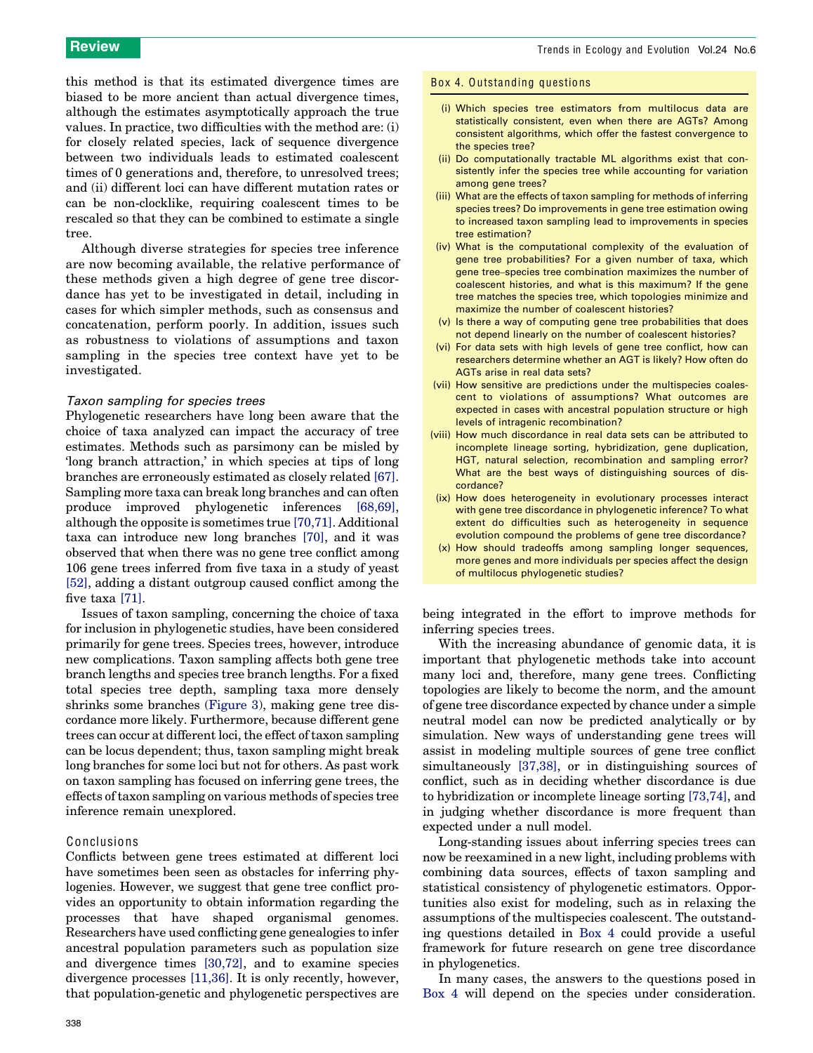this method is that its estimated divergence times are biased to be more ancient than actual divergence times, although the estimates asymptotically approach the true values. In practice, two difficulties with the method are: (i) for closely related species, lack of sequence divergence between two individuals leads to estimated coalescent times of 0 generations and, therefore, to unresolved trees; and (ii) different loci can have different mutation rates or can be non-clocklike, requiring coalescent times to be rescaled so that they can be combined to estimate a single tree.

Although diverse strategies for species tree inference are now becoming available, the relative performance of these methods given a high degree of gene tree discordance has yet to be investigated in detail, including in cases for which simpler methods, such as consensus and concatenation, perform poorly. In addition, issues such as robustness to violations of assumptions and taxon sampling in the species tree context have yet to be investigated.

#### Taxon sampling for species trees

Phylogenetic researchers have long been aware that the choice of taxa analyzed can impact the accuracy of tree estimates. Methods such as parsimony can be misled by 'long branch attraction,' in which species at tips of long branches are erroneously estimated as closely related [\[67\]](#page-8-0). Sampling more taxa can break long branches and can often produce improved phylogenetic inferences [\[68,69\]](#page-8-0), although the opposite is sometimes true [\[70,71\]](#page-8-0). Additional taxa can introduce new long branches [\[70\],](#page-8-0) and it was observed that when there was no gene tree conflict among 106 gene trees inferred from five taxa in a study of yeast [\[52\]](#page-8-0), adding a distant outgroup caused conflict among the five taxa [\[71\]](#page-8-0).

Issues of taxon sampling, concerning the choice of taxa for inclusion in phylogenetic studies, have been considered primarily for gene trees. Species trees, however, introduce new complications. Taxon sampling affects both gene tree branch lengths and species tree branch lengths. For a fixed total species tree depth, sampling taxa more densely shrinks some branches [\(Figure 3\)](#page-3-0), making gene tree discordance more likely. Furthermore, because different gene trees can occur at different loci, the effect of taxon sampling can be locus dependent; thus, taxon sampling might break long branches for some loci but not for others. As past work on taxon sampling has focused on inferring gene trees, the effects of taxon sampling on various methods of species tree inference remain unexplored.

#### Conclusions

<span id="page-6-0"></span>Conflicts between gene trees estimated at different loci have sometimes been seen as obstacles for inferring phylogenies. However, we suggest that gene tree conflict provides an opportunity to obtain information regarding the processes that have shaped organismal genomes. Researchers have used conflicting gene genealogies to infer ancestral population parameters such as population size and divergence times [\[30,72\]](#page-7-0), and to examine species divergence processes [\[11,36\].](#page-7-0) It is only recently, however, that population-genetic and phylogenetic perspectives are

#### Box 4. Outstanding questions

- (i) Which species tree estimators from multilocus data are statistically consistent, even when there are AGTs? Among consistent algorithms, which offer the fastest convergence to the species tree?
- (ii) Do computationally tractable ML algorithms exist that consistently infer the species tree while accounting for variation among gene trees?
- (iii) What are the effects of taxon sampling for methods of inferring species trees? Do improvements in gene tree estimation owing to increased taxon sampling lead to improvements in species tree estimation?
- (iv) What is the computational complexity of the evaluation of gene tree probabilities? For a given number of taxa, which gene tree–species tree combination maximizes the number of coalescent histories, and what is this maximum? If the gene tree matches the species tree, which topologies minimize and maximize the number of coalescent histories?
- (v) Is there a way of computing gene tree probabilities that does not depend linearly on the number of coalescent histories?
- (vi) For data sets with high levels of gene tree conflict, how can researchers determine whether an AGT is likely? How often do AGTs arise in real data sets?
- (vii) How sensitive are predictions under the multispecies coalescent to violations of assumptions? What outcomes are expected in cases with ancestral population structure or high levels of intragenic recombination?
- (viii) How much discordance in real data sets can be attributed to incomplete lineage sorting, hybridization, gene duplication, HGT, natural selection, recombination and sampling error? What are the best ways of distinguishing sources of discordance?
- (ix) How does heterogeneity in evolutionary processes interact with gene tree discordance in phylogenetic inference? To what extent do difficulties such as heterogeneity in sequence evolution compound the problems of gene tree discordance?
- (x) How should tradeoffs among sampling longer sequences, more genes and more individuals per species affect the design of multilocus phylogenetic studies?

being integrated in the effort to improve methods for inferring species trees.

With the increasing abundance of genomic data, it is important that phylogenetic methods take into account many loci and, therefore, many gene trees. Conflicting topologies are likely to become the norm, and the amount of gene tree discordance expected by chance under a simple neutral model can now be predicted analytically or by simulation. New ways of understanding gene trees will assist in modeling multiple sources of gene tree conflict simultaneously [\[37,38\],](#page-7-0) or in distinguishing sources of conflict, such as in deciding whether discordance is due to hybridization or incomplete lineage sorting [\[73,74\]](#page-8-0), and in judging whether discordance is more frequent than expected under a null model.

Long-standing issues about inferring species trees can now be reexamined in a new light, including problems with combining data sources, effects of taxon sampling and statistical consistency of phylogenetic estimators. Opportunities also exist for modeling, such as in relaxing the assumptions of the multispecies coalescent. The outstanding questions detailed in [Box 4](#page-6-0) could provide a useful framework for future research on gene tree discordance in phylogenetics.

In many cases, the answers to the questions posed in [Box 4](#page-6-0) will depend on the species under consideration.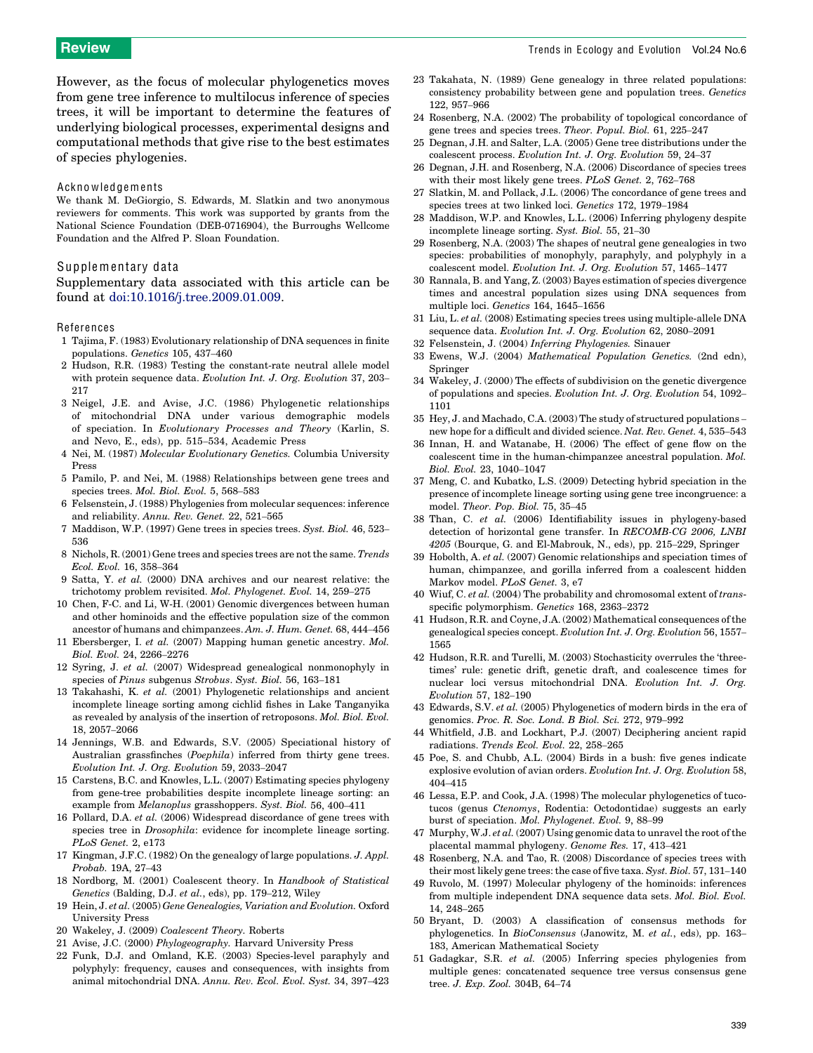Review Trends in Ecology and Evolution Vol.24 No.6

However, as the focus of molecular phylogenetics moves from gene tree inference to multilocus inference of species trees, it will be important to determine the features of underlying biological processes, experimental designs and computational methods that give rise to the best estimates of species phylogenies.

#### **Acknowledgements**

We thank M. DeGiorgio, S. Edwards, M. Slatkin and two anonymous reviewers for comments. This work was supported by grants from the National Science Foundation (DEB-0716904), the Burroughs Wellcome Foundation and the Alfred P. Sloan Foundation.

### Supplementary data

Supplementary data associated with this article can be found at [doi:10.1016/j.tree.2009.01.009.](http://dx.doi.org/10.1016/j.tree.2009.01.009)

#### References

- 1 Tajima, F. (1983) Evolutionary relationship of DNA sequences in finite populations. Genetics 105, 437–460
- 2 Hudson, R.R. (1983) Testing the constant-rate neutral allele model with protein sequence data. Evolution Int. J. Org. Evolution 37, 203– 217
- 3 Neigel, J.E. and Avise, J.C. (1986) Phylogenetic relationships of mitochondrial DNA under various demographic models of speciation. In Evolutionary Processes and Theory (Karlin, S. and Nevo, E., eds), pp. 515–534, Academic Press
- 4 Nei, M. (1987) Molecular Evolutionary Genetics. Columbia University Press
- 5 Pamilo, P. and Nei, M. (1988) Relationships between gene trees and species trees. Mol. Biol. Evol. 5, 568–583
- 6 Felsenstein, J. (1988) Phylogenies from molecular sequences: inference and reliability. Annu. Rev. Genet. 22, 521–565
- 7 Maddison, W.P. (1997) Gene trees in species trees. Syst. Biol. 46, 523– 536
- 8 Nichols, R. (2001) Gene trees and species trees are not the same. Trends Ecol. Evol. 16, 358–364
- 9 Satta, Y. et al. (2000) DNA archives and our nearest relative: the trichotomy problem revisited. Mol. Phylogenet. Evol. 14, 259–275
- 10 Chen, F-C. and Li, W-H. (2001) Genomic divergences between human and other hominoids and the effective population size of the common ancestor of humans and chimpanzees. Am. J. Hum. Genet. 68, 444–456
- 11 Ebersberger, I. et al. (2007) Mapping human genetic ancestry. Mol. Biol. Evol. 24, 2266–2276
- 12 Syring, J. et al. (2007) Widespread genealogical nonmonophyly in species of Pinus subgenus Strobus. Syst. Biol. 56, 163-181
- 13 Takahashi, K. et al. (2001) Phylogenetic relationships and ancient incomplete lineage sorting among cichlid fishes in Lake Tanganyika as revealed by analysis of the insertion of retroposons. Mol. Biol. Evol. 18, 2057–2066
- 14 Jennings, W.B. and Edwards, S.V. (2005) Speciational history of Australian grassfinches (Poephila) inferred from thirty gene trees. Evolution Int. J. Org. Evolution 59, 2033–2047
- 15 Carstens, B.C. and Knowles, L.L. (2007) Estimating species phylogeny from gene-tree probabilities despite incomplete lineage sorting: an example from Melanoplus grasshoppers. Syst. Biol. 56, 400–411
- 16 Pollard, D.A. et al. (2006) Widespread discordance of gene trees with species tree in Drosophila: evidence for incomplete lineage sorting. PLoS Genet. 2, e173
- 17 Kingman, J.F.C. (1982) On the genealogy of large populations. J. Appl. Probab. 19A, 27–43
- 18 Nordborg, M. (2001) Coalescent theory. In Handbook of Statistical Genetics (Balding, D.J. et al., eds), pp. 179–212, Wiley
- 19 Hein, J. et al. (2005) Gene Genealogies, Variation and Evolution. Oxford University Press
- 20 Wakeley, J. (2009) Coalescent Theory. Roberts
- 21 Avise, J.C. (2000) Phylogeography. Harvard University Press
- <span id="page-7-0"></span>22 Funk, D.J. and Omland, K.E. (2003) Species-level paraphyly and polyphyly: frequency, causes and consequences, with insights from animal mitochondrial DNA. Annu. Rev. Ecol. Evol. Syst. 34, 397–423
- 23 Takahata, N. (1989) Gene genealogy in three related populations: consistency probability between gene and population trees. Genetics 122, 957–966
- 24 Rosenberg, N.A. (2002) The probability of topological concordance of gene trees and species trees. Theor. Popul. Biol. 61, 225–247
- 25 Degnan, J.H. and Salter, L.A. (2005) Gene tree distributions under the coalescent process. Evolution Int. J. Org. Evolution 59, 24–37
- 26 Degnan, J.H. and Rosenberg, N.A. (2006) Discordance of species trees with their most likely gene trees. PLoS Genet. 2, 762–768
- 27 Slatkin, M. and Pollack, J.L. (2006) The concordance of gene trees and species trees at two linked loci. Genetics 172, 1979–1984
- 28 Maddison, W.P. and Knowles, L.L. (2006) Inferring phylogeny despite incomplete lineage sorting. Syst. Biol. 55, 21–30
- 29 Rosenberg, N.A. (2003) The shapes of neutral gene genealogies in two species: probabilities of monophyly, paraphyly, and polyphyly in a coalescent model. Evolution Int. J. Org. Evolution 57, 1465–1477
- 30 Rannala, B. and Yang, Z. (2003) Bayes estimation of species divergence times and ancestral population sizes using DNA sequences from multiple loci. Genetics 164, 1645–1656
- 31 Liu, L. et al. (2008) Estimating species trees using multiple-allele DNA sequence data. Evolution Int. J. Org. Evolution 62, 2080–2091
- 32 Felsenstein, J. (2004) Inferring Phylogenies. Sinauer
- 33 Ewens, W.J. (2004) Mathematical Population Genetics. (2nd edn), Springer
- 34 Wakeley, J. (2000) The effects of subdivision on the genetic divergence of populations and species. Evolution Int. J. Org. Evolution 54, 1092– 1101
- 35 Hey, J. and Machado, C.A. (2003) The study of structured populations new hope for a difficult and divided science. Nat. Rev. Genet. 4, 535–543
- 36 Innan, H. and Watanabe, H. (2006) The effect of gene flow on the coalescent time in the human-chimpanzee ancestral population. Mol. Biol. Evol. 23, 1040–1047
- 37 Meng, C. and Kubatko, L.S. (2009) Detecting hybrid speciation in the presence of incomplete lineage sorting using gene tree incongruence: a model. Theor. Pop. Biol. 75, 35–45
- 38 Than, C. et al. (2006) Identifiability issues in phylogeny-based detection of horizontal gene transfer. In RECOMB-CG 2006, LNBI 4205 (Bourque, G. and El-Mabrouk, N., eds), pp. 215–229, Springer
- 39 Hobolth, A. et al. (2007) Genomic relationships and speciation times of human, chimpanzee, and gorilla inferred from a coalescent hidden Markov model. PLoS Genet. 3, e7
- Wiuf, C. et al. (2004) The probability and chromosomal extent of transspecific polymorphism. Genetics 168, 2363–2372
- 41 Hudson, R.R. and Coyne, J.A. (2002) Mathematical consequences of the genealogical species concept. Evolution Int. J. Org. Evolution 56, 1557– 1565
- 42 Hudson, R.R. and Turelli, M. (2003) Stochasticity overrules the 'threetimes' rule: genetic drift, genetic draft, and coalescence times for nuclear loci versus mitochondrial DNA. Evolution Int. J. Org. Evolution 57, 182–190
- 43 Edwards, S.V. et al. (2005) Phylogenetics of modern birds in the era of genomics. Proc. R. Soc. Lond. B Biol. Sci. 272, 979–992
- 44 Whitfield, J.B. and Lockhart, P.J. (2007) Deciphering ancient rapid radiations. Trends Ecol. Evol. 22, 258–265
- 45 Poe, S. and Chubb, A.L. (2004) Birds in a bush: five genes indicate explosive evolution of avian orders. Evolution Int. J. Org. Evolution 58, 404–415
- 46 Lessa, E.P. and Cook, J.A. (1998) The molecular phylogenetics of tucotucos (genus Ctenomys, Rodentia: Octodontidae) suggests an early burst of speciation. Mol. Phylogenet. Evol. 9, 88–99
- 47 Murphy, W.J. et al. (2007) Using genomic data to unravel the root of the placental mammal phylogeny. Genome Res. 17, 413–421
- 48 Rosenberg, N.A. and Tao, R. (2008) Discordance of species trees with their most likely gene trees: the case of five taxa. Syst. Biol. 57, 131–140
- 49 Ruvolo, M. (1997) Molecular phylogeny of the hominoids: inferences from multiple independent DNA sequence data sets. Mol. Biol. Evol. 14, 248–265
- 50 Bryant, D. (2003) A classification of consensus methods for phylogenetics. In BioConsensus (Janowitz, M. et al., eds), pp. 163– 183, American Mathematical Society
- 51 Gadagkar, S.R. et al. (2005) Inferring species phylogenies from multiple genes: concatenated sequence tree versus consensus gene tree. J. Exp. Zool. 304B, 64–74